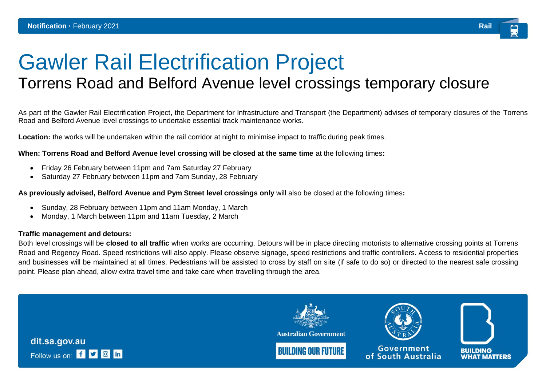# Gawler Rail Electrification Project

# Torrens Road and Belford Avenue level crossings temporary closure

As part of the Gawler Rail Electrification Project, the Department for Infrastructure and Transport (the Department) advises of temporary closures of the Torrens Road and Belford Avenue level crossings to undertake essential track maintenance works.

**Location:** the works will be undertaken within the rail corridor at night to minimise impact to traffic during peak times.

### **When: Torrens Road and Belford Avenue level crossing will be closed at the same time** at the following times**:**

- Friday 26 February between 11pm and 7am Saturday 27 February
- Saturday 27 February between 11pm and 7am Sunday, 28 February

# **As previously advised, Belford Avenue and Pym Street level crossings only** will also be closed at the following times**:**

- Sunday, 28 February between 11pm and 11am Monday, 1 March
- Monday, 1 March between 11pm and 11am Tuesday, 2 March

## **Traffic management and detours:**

Both level crossings will be **closed to all traffic** when works are occurring. Detours will be in place directing motorists to alternative crossing points at Torrens Road and Regency Road. Speed restrictions will also apply. Please observe signage, speed restrictions and traffic controllers. Access to residential properties and businesses will be maintained at all times. Pedestrians will be assisted to cross by staff on site (if safe to do so) or directed to the nearest safe crossing point. Please plan ahead, allow extra travel time and take care when travelling through the area.